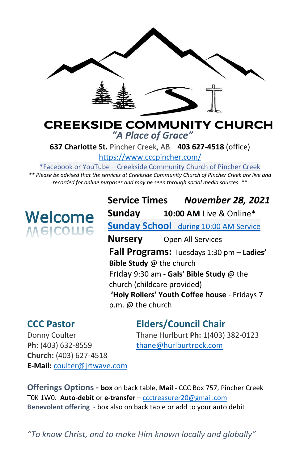

# **CREEKSIDE COMMUNITY CHURCH** *"A Place of Grace"*

**637 Charlotte St.** Pincher Creek, AB **403 627-4518** (office)

<https://www.cccpincher.com/>

\*Facebook or YouTube – Creekside Community Church of Pincher Creek

*\*\* Please be advised that the services at Creekside Community Church of Pincher Creek are live and recorded for online purposes and may be seen through social media sources. \*\**

# Welcome **Welcome**

**Service Times** *November 28, 2021* **Sunday 10:00 AM** Live & Online\* **Sunday School** during 10:00 AM Service **Nursery** Open All Services **Fall Programs:** Tuesdays 1:30 pm – **Ladies' Bible Study** @ the church Friday 9:30 am - **Gals' Bible Study** @ the church (childcare provided) **'Holy Rollers' Youth Coffee house** - Fridays 7 p.m. @ the church

**CCC Pastor Elders/Council Chair**

Ph: (403) 632-8559 [thane@hurlburtrock.com](mailto:thane@hurlburtrock.com) **Church:** (403) 627-4518 **E-Mail:** [coulter@jrtwave.com](mailto:coulter@jrtwave.com)

Donny Coulter Thane Hurlburt **Ph:** 1(403) 382-0123

**Offerings Options - box** on back table, **Mail** - CCC Box 757, Pincher Creek T0K 1W0. **Auto-debit** or **e-transfer** – [ccctreasurer20@gmail.com](mailto:ccctreasurer20@gmail.com) **Benevolent offering** - box also on back table or add to your auto debit

*"To know Christ, and to make Him known locally and globally"*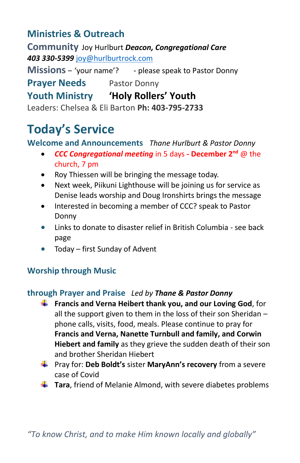# **Ministries & Outreach**

**Community** Joy Hurlburt *Deacon, Congregational Care 403 330-5399* [joy@hurlburtrock.com](mailto:joy@hurlburtrock.com)

**Missions** – 'vour name'? - please speak to Pastor Donny

**Prayer Needs** Pastor Donny

# **Youth Ministry 'Holy Rollers' Youth**

Leaders: Chelsea & Eli Barton **Ph: 403-795-2733**

# **Today's Service**

# **Welcome and Announcements** *Thane Hurlburt & Pastor Donny*

- *CCC Congregational meeting* in 5 days **- December 2nd** @ the church, 7 pm
- Roy Thiessen will be bringing the message today.
- Next week, Piikuni Lighthouse will be joining us for service as Denise leads worship and Doug Ironshirts brings the message
- Interested in becoming a member of CCC? speak to Pastor Donny
- Links to donate to disaster relief in British Columbia see back page
- Today first Sunday of Advent

# **Worship through Music**

## **through Prayer and Praise** *Led by Thane & Pastor Donny*

- **Francis and Verna Heibert thank you, and our Loving God, for** all the support given to them in the loss of their son Sheridan – phone calls, visits, food, meals. Please continue to pray for **Francis and Verna, Nanette Turnbull and family, and Corwin Hiebert and family** as they grieve the sudden death of their son and brother Sheridan Hiebert
- Pray for: **Deb Boldt's** sister **MaryAnn's recovery** from a severe case of Covid
- **Tara**, friend of Melanie Almond, with severe diabetes problems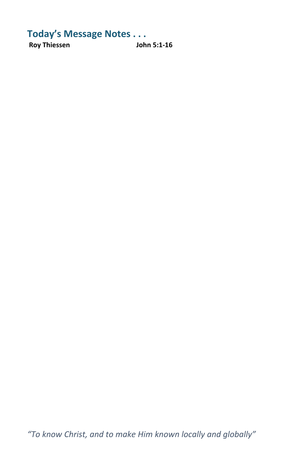**Today's Message Notes . . . Roy Thiessen** 

*"To know Christ, and to make Him known locally and globally"*